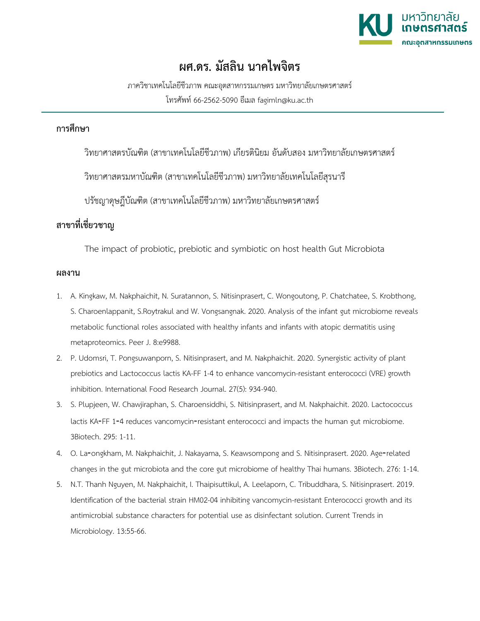

## **ผศ.ดร. มัสลิน นาคไพจิตร**

ภาควิชาเทคโนโลยีชีวภาพ คณะอุตสาหกรรมเกษตร มหาวิทยาลัยเกษตรศาสตร์ โทรศัพท์ 66-2562-5090 อีเมล fagimln@ku.ac.th

## **การศึกษา**

วิทยาศาสตรบัณฑิต (สาขาเทคโนโลยีชีวภาพ) เกียรตินิยม อันดับสอง มหาวิทยาลัยเกษตรศาสตร์

วิทยาศาสตรมหาบัณฑิต (สาขาเทคโนโลยีชีวภาพ) มหาวิทยาลัยเทคโนโลยีสุรนารี

ปรัชญาดุษฎีบัณฑิต (สาขาเทคโนโลยีชีวภาพ) มหาวิทยาลัยเกษตรศาสตร์

## **สาขาที่เชี่ยวชาญ**

The impact of probiotic, prebiotic and symbiotic on host health Gut Microbiota

## **ผลงาน**

- 1. A. Kingkaw, M. Nakphaichit, N. Suratannon, S. Nitisinprasert, C. Wongoutong, P. Chatchatee, S. Krobthong, S. Charoenlappanit, S.Roytrakul and W. Vongsangnak. 2020. Analysis of the infant gut microbiome reveals metabolic functional roles associated with healthy infants and infants with atopic dermatitis using metaproteomics. Peer J. 8:e9988.
- 2. P. Udomsri, T. Pongsuwanporn, S. Nitisinprasert, and M. Nakphaichit. 2020. Synergistic activity of plant prebiotics and Lactococcus lactis KA-FF 1-4 to enhance vancomycin-resistant enterococci (VRE) growth inhibition. International Food Research Journal. 27(5): 934-940.
- 3. S. Plupjeen, W. Chawjiraphan, S. Charoensiddhi, S. Nitisinprasert, and M. Nakphaichit. 2020. Lactococcus lactis KA-FF 1-4 reduces vancomycin-resistant enterococci and impacts the human gut microbiome. 3Biotech. 295: 1-11.
- 4. O. La-ongkham, M. Nakphaichit, J. Nakayama, S. Keawsompong and S. Nitisinprasert. 2020. Age-related changes in the gut microbiota and the core gut microbiome of healthy Thai humans. 3Biotech. 276: 1-14.
- 5. N.T. Thanh Nguyen, M. Nakphaichit, I. Thaipisuttikul, A. Leelaporn, C. Tribuddhara, S. Nitisinprasert. 2019. Identification of the bacterial strain HM02-04 inhibiting vancomycin-resistant Enterococci growth and its antimicrobial substance characters for potential use as disinfectant solution. Current Trends in Microbiology. 13:55-66.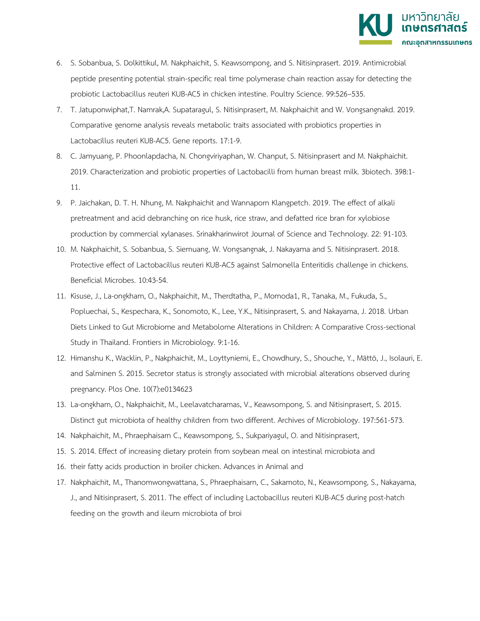

- 6. S. Sobanbua, S. Dolkittikul, M. Nakphaichit, S. Keawsompong, and S. Nitisinprasert. 2019. Antimicrobial peptide presenting potential strain-specific real time polymerase chain reaction assay for detecting the probiotic Lactobacillus reuteri KUB-AC5 in chicken intestine. Poultry Science. 99:526–535.
- 7. T. Jatuponwiphat,T. Namrak,A. Supataragul, S. Nitisinprasert, M. Nakphaichit and W. Vongsangnakd. 2019. Comparative genome analysis reveals metabolic traits associated with probiotics properties in Lactobacillus reuteri KUB-AC5. Gene reports. 17:1-9.
- 8. C. Jamyuang, P. Phoonlapdacha, N. Chongviriyaphan, W. Chanput, S. Nitisinprasert and M. Nakphaichit. 2019. Characterization and probiotic properties of Lactobacilli from human breast milk. 3biotech. 398:1- 11.
- 9. P. Jaichakan, D. T. H. Nhung, M. Nakphaichit and Wannaporn Klangpetch. 2019. The effect of alkali pretreatment and acid debranching on rice husk, rice straw, and defatted rice bran for xylobiose production by commercial xylanases. Srinakharinwirot Journal of Science and Technology. 22: 91-103.
- 10. M. Nakphaichit, S. Sobanbua, S. Siemuang, W. Vongsangnak, J. Nakayama and S. Nitisinprasert. 2018. Protective effect of Lactobacillus reuteri KUB-AC5 against Salmonella Enteritidis challenge in chickens. Beneficial Microbes. 10:43-54.
- 11. Kisuse, J., La-ongkham, O., Nakphaichit, M., Therdtatha, P., Momoda1, R., Tanaka, M., Fukuda, S., Popluechai, S., Kespechara, K., Sonomoto, K., Lee, Y.K., Nitisinprasert, S. and Nakayama, J. 2018. Urban Diets Linked to Gut Microbiome and Metabolome Alterations in Children: A Comparative Cross-sectional Study in Thailand. Frontiers in Microbiology. 9:1-16.
- 12. Himanshu K., Wacklin, P., Nakphaichit, M., Loyttyniemi, E., Chowdhury, S., Shouche, Y., Mättö, J., Isolauri, E. and Salminen S. 2015. Secretor status is strongly associated with microbial alterations observed during pregnancy. Plos One. 10(7):e0134623
- 13. La-ongkham, O., Nakphaichit, M., Leelavatcharamas, V., Keawsompong, S. and Nitisinprasert, S. 2015. Distinct gut microbiota of healthy children from two different. Archives of Microbiology. 197:561-573.
- 14. Nakphaichit, M., Phraephaisarn C., Keawsompong, S., Sukpariyagul, O. and Nitisinprasert,
- 15. S. 2014. Effect of increasing dietary protein from soybean meal on intestinal microbiota and
- 16. their fatty acids production in broiler chicken. Advances in Animal and
- 17. Nakphaichit, M., Thanomwongwattana, S., Phraephaisarn, C., Sakamoto, N., Keawsompong, S., Nakayama, J., and Nitisinprasert, S. 2011. The effect of including Lactobacillus reuteri KUB-AC5 during post-hatch feeding on the growth and ileum microbiota of broi